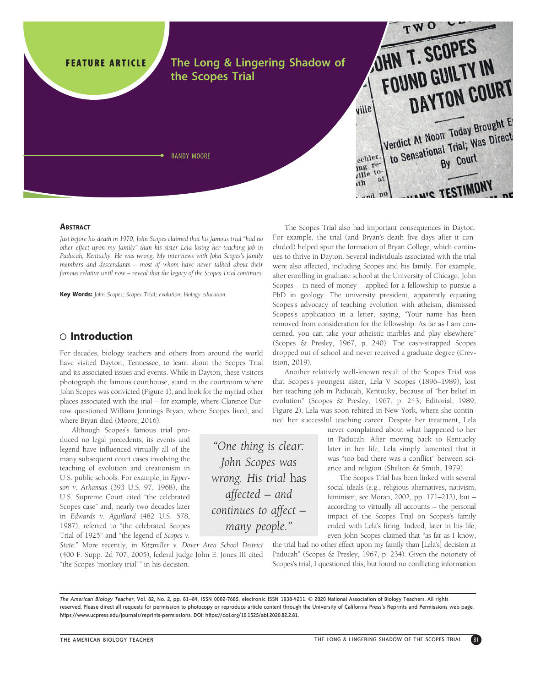

#### **ABSTRACT**

Just before his death in 1970, John Scopes claimed that his famous trial "had no other effect upon my family" than his sister Lela losing her teaching job in Paducah, Kentucky. He was wrong. My interviews with John Scopes's family members and descendants – most of whom have never talked about their famous relative until now – reveal that the legacy of the Scopes Trial continues.

Key Words: John Scopes; Scopes Trial; evolution; biology education.

#### $\circ$  Introduction

For decades, biology teachers and others from around the world have visited Dayton, Tennessee, to learn about the Scopes Trial and its associated issues and events. While in Dayton, these visitors photograph the famous courthouse, stand in the courtroom where John Scopes was convicted (Figure 1), and look for the myriad other places associated with the trial – for example, where Clarence Darrow questioned William Jennings Bryan, where Scopes lived, and where Bryan died (Moore, 2016).

Although Scopes's famous trial produced no legal precedents, its events and legend have influenced virtually all of the many subsequent court cases involving the teaching of evolution and creationism in U.S. public schools. For example, in Epperson v. Arkansas (393 U.S. 97, 1968), the U.S. Supreme Court cited "the celebrated Scopes case" and, nearly two decades later in Edwards v. Aguillard (482 U.S. 578, 1987), referred to "the celebrated Scopes Trial of 1925" and "the legend of Scopes v.

State." More recently, in Kitzmiller v. Dover Area School District (400 F. Supp. 2d 707, 2005), federal judge John E. Jones III cited "the Scopes 'monkey trial' " in his decision.

The Scopes Trial also had important consequences in Dayton. For example, the trial (and Bryan's death five days after it concluded) helped spur the formation of Bryan College, which continues to thrive in Dayton. Several individuals associated with the trial were also affected, including Scopes and his family. For example, after enrolling in graduate school at the University of Chicago, John Scopes – in need of money – applied for a fellowship to pursue a PhD in geology. The university president, apparently equating Scopes's advocacy of teaching evolution with atheism, dismissed Scopes's application in a letter, saying, "Your name has been removed from consideration for the fellowship. As far as I am concerned, you can take your atheistic marbles and play elsewhere" (Scopes & Presley, 1967, p. 240). The cash-strapped Scopes dropped out of school and never received a graduate degree (Creviston, 2019).

Another relatively well-known result of the Scopes Trial was that Scopes's youngest sister, Lela V Scopes (1896–1989), lost her teaching job in Paducah, Kentucky, because of "her belief in evolution" (Scopes & Presley, 1967, p. 243; Editorial, 1989; Figure 2). Lela was soon rehired in New York, where she continued her successful teaching career. Despite her treatment, Lela

> never complained about what happened to her in Paducah. After moving back to Kentucky later in her life, Lela simply lamented that it was "too bad there was a conflict" between science and religion (Shelton & Smith, 1979).

> The Scopes Trial has been linked with several social ideals (e.g., religious alternatives, nativism, feminism; see Moran, 2002, pp. 171–212), but – according to virtually all accounts – the personal impact of the Scopes Trial on Scopes's family ended with Lela's firing. Indeed, later in his life, even John Scopes claimed that "as far as I know,

the trial had no other effect upon my family than [Lela's] decision at Paducah" (Scopes & Presley, 1967, p. 234). Given the notoriety of Scopes's trial, I questioned this, but found no conflicting information

John Scopes was wrong. His trial has affected – and continues to affect – many people."

"One thing is clear:

The American Biology Teacher, Vol. 82, No. 2, pp. 81–84, ISSN 0002-7685, electronic ISSN 1938-4211. © 2020 National Association of Biology Teachers. All rights reserved. Please direct all requests for permission to photocopy or reproduce article content through the University of California Press's Reprints and Permissions web page, https://www.ucpress.edu/journals/reprints-permissions. DOI: https://doi.org/10.1525/abt.2020.82.2.81.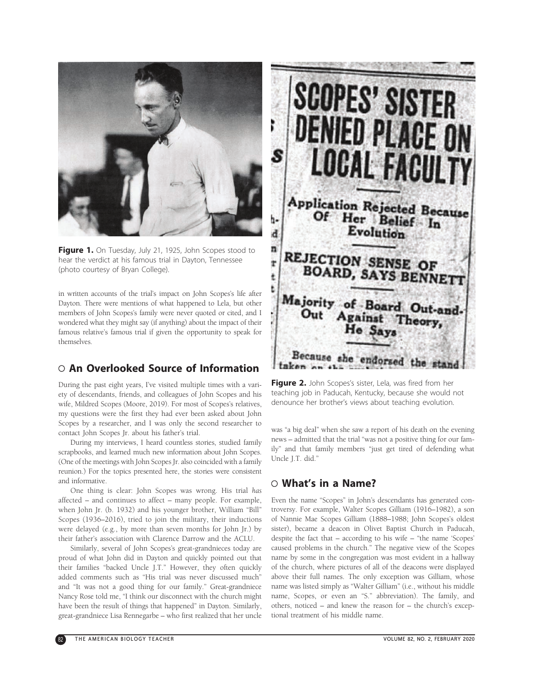

Figure 1. On Tuesday, July 21, 1925, John Scopes stood to hear the verdict at his famous trial in Dayton, Tennessee (photo courtesy of Bryan College).

in written accounts of the trial's impact on John Scopes's life after Dayton. There were mentions of what happened to Lela, but other members of John Scopes's family were never quoted or cited, and I wondered what they might say (if anything) about the impact of their famous relative's famous trial if given the opportunity to speak for themselves.

### O An Overlooked Source of Information

During the past eight years, I've visited multiple times with a variety of descendants, friends, and colleagues of John Scopes and his wife, Mildred Scopes (Moore, 2019). For most of Scopes's relatives, my questions were the first they had ever been asked about John Scopes by a researcher, and I was only the second researcher to contact John Scopes Jr. about his father's trial.

During my interviews, I heard countless stories, studied family scrapbooks, and learned much new information about John Scopes. (One of the meetings with John Scopes Jr. also coincided with a family reunion.) For the topics presented here, the stories were consistent and informative.

One thing is clear: John Scopes was wrong. His trial has affected – and continues to affect – many people. For example, when John Jr. (b. 1932) and his younger brother, William "Bill" Scopes (1936–2016), tried to join the military, their inductions were delayed (e.g., by more than seven months for John Jr.) by their father's association with Clarence Darrow and the ACLU.

Similarly, several of John Scopes's great-grandnieces today are proud of what John did in Dayton and quickly pointed out that their families "backed Uncle J.T." However, they often quickly added comments such as "His trial was never discussed much" and "It was not a good thing for our family." Great-grandniece Nancy Rose told me, "I think our disconnect with the church might have been the result of things that happened" in Dayton. Similarly, great-grandniece Lisa Rennegarbe – who first realized that her uncle



Figure 2. John Scopes's sister, Lela, was fired from her teaching job in Paducah, Kentucky, because she would not denounce her brother's views about teaching evolution.

was "a big deal" when she saw a report of his death on the evening news – admitted that the trial "was not a positive thing for our family" and that family members "just get tired of defending what Uncle J.T. did."

### What's in a Name?

Even the name "Scopes" in John's descendants has generated controversy. For example, Walter Scopes Gilliam (1916–1982), a son of Nannie Mae Scopes Gilliam (1888–1988; John Scopes's oldest sister), became a deacon in Olivet Baptist Church in Paducah, despite the fact that – according to his wife – "the name 'Scopes' caused problems in the church." The negative view of the Scopes name by some in the congregation was most evident in a hallway of the church, where pictures of all of the deacons were displayed above their full names. The only exception was Gilliam, whose name was listed simply as "Walter Gilliam" (i.e., without his middle name, Scopes, or even an "S." abbreviation). The family, and others, noticed – and knew the reason for – the church's exceptional treatment of his middle name.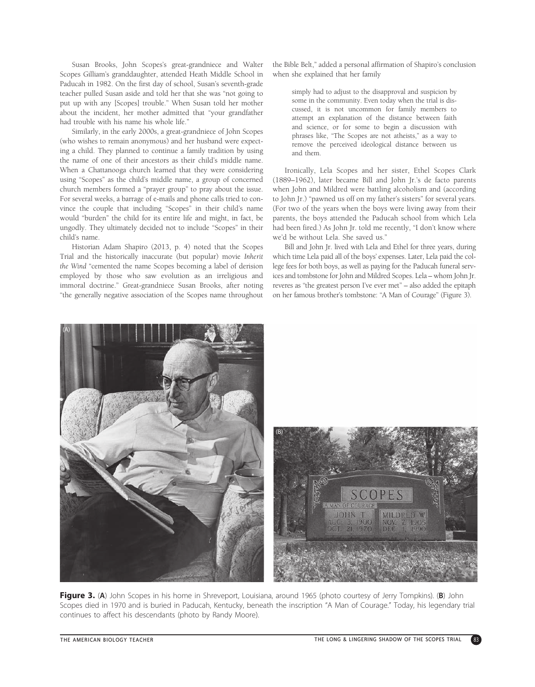Susan Brooks, John Scopes's great-grandniece and Walter Scopes Gilliam's granddaughter, attended Heath Middle School in Paducah in 1982. On the first day of school, Susan's seventh-grade teacher pulled Susan aside and told her that she was "not going to put up with any [Scopes] trouble." When Susan told her mother about the incident, her mother admitted that "your grandfather had trouble with his name his whole life."

Similarly, in the early 2000s, a great-grandniece of John Scopes (who wishes to remain anonymous) and her husband were expecting a child. They planned to continue a family tradition by using the name of one of their ancestors as their child's middle name. When a Chattanooga church learned that they were considering using "Scopes" as the child's middle name, a group of concerned church members formed a "prayer group" to pray about the issue. For several weeks, a barrage of e-mails and phone calls tried to convince the couple that including "Scopes" in their child's name would "burden" the child for its entire life and might, in fact, be ungodly. They ultimately decided not to include "Scopes" in their child's name.

Historian Adam Shapiro (2013, p. 4) noted that the Scopes Trial and the historically inaccurate (but popular) movie Inherit the Wind "cemented the name Scopes becoming a label of derision employed by those who saw evolution as an irreligious and immoral doctrine." Great-grandniece Susan Brooks, after noting "the generally negative association of the Scopes name throughout the Bible Belt," added a personal affirmation of Shapiro's conclusion when she explained that her family

simply had to adjust to the disapproval and suspicion by some in the community. Even today when the trial is discussed, it is not uncommon for family members to attempt an explanation of the distance between faith and science, or for some to begin a discussion with phrases like, "The Scopes are not atheists," as a way to remove the perceived ideological distance between us and them.

Ironically, Lela Scopes and her sister, Ethel Scopes Clark (1889–1962), later became Bill and John Jr.'s de facto parents when John and Mildred were battling alcoholism and (according to John Jr.) "pawned us off on my father's sisters" for several years. (For two of the years when the boys were living away from their parents, the boys attended the Paducah school from which Lela had been fired.) As John Jr. told me recently, "I don't know where we'd be without Lela. She saved us."

Bill and John Jr. lived with Lela and Ethel for three years, during which time Lela paid all of the boys' expenses. Later, Lela paid the college fees for both boys, as well as paying for the Paducah funeral services and tombstone for John and Mildred Scopes. Lela – whom John Jr. reveres as "the greatest person I've ever met" – also added the epitaph on her famous brother's tombstone: "A Man of Courage" (Figure 3).



Figure 3. (A) John Scopes in his home in Shreveport, Louisiana, around 1965 (photo courtesy of Jerry Tompkins). (B) John Scopes died in 1970 and is buried in Paducah, Kentucky, beneath the inscription "A Man of Courage." Today, his legendary trial continues to affect his descendants (photo by Randy Moore).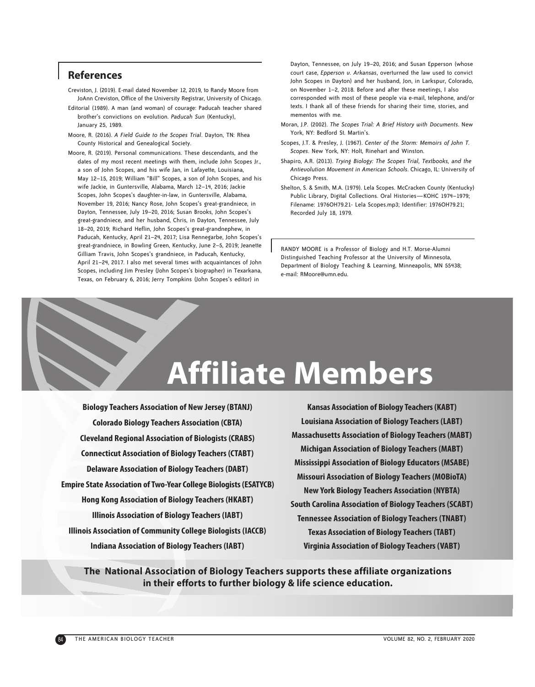### References

- Creviston, J. (2019). E-mail dated November 12, 2019, to Randy Moore from JoAnn Creviston, Office of the University Registrar, University of Chicago.
- Editorial (1989). A man (and woman) of courage: Paducah teacher shared brother's convictions on evolution. Paducah Sun (Kentucky), January 25, 1989.
- Moore, R. (2016). A Field Guide to the Scopes Trial. Dayton, TN: Rhea County Historical and Genealogical Society.
- Moore, R. (2019). Personal communications. These descendants, and the dates of my most recent meetings with them, include John Scopes Jr., a son of John Scopes, and his wife Jan, in Lafayette, Louisiana, May 12–15, 2019; William "Bill" Scopes, a son of John Scopes, and his wife Jackie, in Guntersville, Alabama, March 12–14, 2016; Jackie Scopes, John Scopes's daughter-in-law, in Guntersville, Alabama, November 19, 2016; Nancy Rose, John Scopes's great-grandniece, in Dayton, Tennessee, July 19–20, 2016; Susan Brooks, John Scopes's great-grandniece, and her husband, Chris, in Dayton, Tennessee, July 18–20, 2019; Richard Heflin, John Scopes's great-grandnephew, in Paducah, Kentucky, April 21–24, 2017; Lisa Rennegarbe, John Scopes's great-grandniece, in Bowling Green, Kentucky, June 2–5, 2019; Jeanette Gilliam Travis, John Scopes's grandniece, in Paducah, Kentucky, April 21–24, 2017. I also met several times with acquaintances of John Scopes, including Jim Presley (John Scopes's biographer) in Texarkana, Texas, on February 6, 2016; Jerry Tompkins (John Scopes's editor) in

Dayton, Tennessee, on July 19–20, 2016; and Susan Epperson (whose court case, Epperson v. Arkansas, overturned the law used to convict John Scopes in Dayton) and her husband, Jon, in Larkspur, Colorado, on November 1–2, 2018. Before and after these meetings, I also corresponded with most of these people via e-mail, telephone, and/or texts. I thank all of these friends for sharing their time, stories, and mementos with me.

- Moran, J.P. (2002). The Scopes Trial: A Brief History with Documents. New York, NY: Bedford St. Martin's.
- Scopes, J.T. & Presley, J. (1967). Center of the Storm: Memoirs of John T. Scopes. New York, NY: Holt, Rinehart and Winston.
- Shapiro, A.R. (2013). Trying Biology: The Scopes Trial, Textbooks, and the Antievolution Movement in American Schools. Chicago, IL: University of Chicago Press.
- Shelton, S. & Smith, M.A. (1979). Lela Scopes. McCracken County (Kentucky) Public Library, Digital Collections. Oral Histories—KOHC 1974–1979; Filename: 1976OH79.21- Lela Scopes.mp3; Identifier: 1976OH79.21; Recorded July 18, 1979.

RANDY MOORE is a Professor of Biology and H.T. Morse-Alumni Distinguished Teaching Professor at the University of Minnesota, Department of Biology Teaching & Learning, Minneapolis, MN 55438; e-mail: RMoore@umn.edu.

# **Affiliate Members**

**Biology Teachers Association of New Jersey (BTANJ) Colorado Biology Teachers Association (CBTA) Cleveland Regional Association of Biologists (CRABS) Connecticut Association of Biology Teachers (CTABT) Delaware Association of Biology Teachers (DABT) Empire State Association of Two-Year College Biologists (ESATYCB) Hong Kong Association of Biology Teachers (HKABT) Illinois Association of Biology Teachers (IABT) Illinois Association of Community College Biologists (IACCB) Indiana Association of Biology Teachers (IABT)**

**The National Association of Biology Teachers supports these affiliate organizations in their efforts to further biology & life science education.**

**Kansas Association of Biology Teachers (KABT) Louisiana Association of Biology Teachers (LABT) Massachusetts Association of Biology Teachers (MABT) Michigan Association of Biology Teachers (MABT) Mississippi Association of Biology Educators (MSABE) Missouri Association of Biology Teachers (MOBioTA) New York Biology Teachers Association (NYBTA) South Carolina Association of Biology Teachers (SCABT) Tennessee Association of Biology Teachers (TNABT) Texas Association of Biology Teachers (TABT) Virginia Association of Biology Teachers (VABT)**